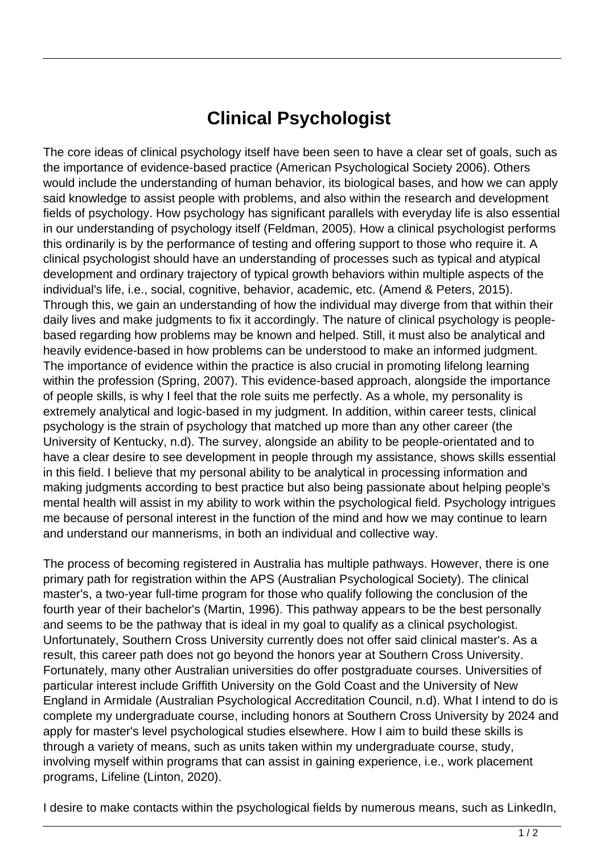## **Clinical Psychologist**

The core ideas of clinical psychology itself have been seen to have a clear set of goals, such as the importance of evidence-based practice (American Psychological Society 2006). Others would include the understanding of human behavior, its biological bases, and how we can apply said knowledge to assist people with problems, and also within the research and development fields of psychology. How psychology has significant parallels with everyday life is also essential in our understanding of psychology itself (Feldman, 2005). How a clinical psychologist performs this ordinarily is by the performance of testing and offering support to those who require it. A clinical psychologist should have an understanding of processes such as typical and atypical development and ordinary trajectory of typical growth behaviors within multiple aspects of the individual's life, i.e., social, cognitive, behavior, academic, etc. (Amend & Peters, 2015). Through this, we gain an understanding of how the individual may diverge from that within their daily lives and make judgments to fix it accordingly. The nature of clinical psychology is peoplebased regarding how problems may be known and helped. Still, it must also be analytical and heavily evidence-based in how problems can be understood to make an informed judgment. The importance of evidence within the practice is also crucial in promoting lifelong learning within the profession (Spring, 2007). This evidence-based approach, alongside the importance of people skills, is why I feel that the role suits me perfectly. As a whole, my personality is extremely analytical and logic-based in my judgment. In addition, within career tests, clinical psychology is the strain of psychology that matched up more than any other career (the University of Kentucky, n.d). The survey, alongside an ability to be people-orientated and to have a clear desire to see development in people through my assistance, shows skills essential in this field. I believe that my personal ability to be analytical in processing information and making judgments according to best practice but also being passionate about helping people's mental health will assist in my ability to work within the psychological field. Psychology intrigues me because of personal interest in the function of the mind and how we may continue to learn and understand our mannerisms, in both an individual and collective way.

The process of becoming registered in Australia has multiple pathways. However, there is one primary path for registration within the APS (Australian Psychological Society). The clinical master's, a two-year full-time program for those who qualify following the conclusion of the fourth year of their bachelor's (Martin, 1996). This pathway appears to be the best personally and seems to be the pathway that is ideal in my goal to qualify as a clinical psychologist. Unfortunately, Southern Cross University currently does not offer said clinical master's. As a result, this career path does not go beyond the honors year at Southern Cross University. Fortunately, many other Australian universities do offer postgraduate courses. Universities of particular interest include Griffith University on the Gold Coast and the University of New England in Armidale (Australian Psychological Accreditation Council, n.d). What I intend to do is complete my undergraduate course, including honors at Southern Cross University by 2024 and apply for master's level psychological studies elsewhere. How I aim to build these skills is through a variety of means, such as units taken within my undergraduate course, study, involving myself within programs that can assist in gaining experience, i.e., work placement programs, Lifeline (Linton, 2020).

I desire to make contacts within the psychological fields by numerous means, such as LinkedIn,